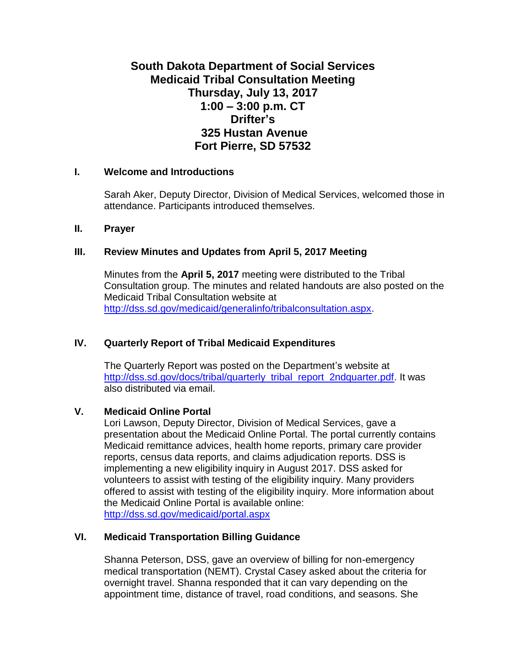# **South Dakota Department of Social Services Medicaid Tribal Consultation Meeting Thursday, July 13, 2017 1:00 – 3:00 p.m. CT Drifter's 325 Hustan Avenue Fort Pierre, SD 57532**

#### **I. Welcome and Introductions**

Sarah Aker, Deputy Director, Division of Medical Services, welcomed those in attendance. Participants introduced themselves.

#### **II. Prayer**

#### **III. Review Minutes and Updates from April 5, 2017 Meeting**

Minutes from the **April 5, 2017** meeting were distributed to the Tribal Consultation group. The minutes and related handouts are also posted on the Medicaid Tribal Consultation website at [http://dss.sd.gov/medicaid/generalinfo/tribalconsultation.aspx.](http://dss.sd.gov/medicaid/generalinfo/tribalconsultation.aspx)

## **IV. Quarterly Report of Tribal Medicaid Expenditures**

The Quarterly Report was posted on the Department's website at [http://dss.sd.gov/docs/tribal/quarterly\\_tribal\\_report\\_2ndquarter.pdf.](http://dss.sd.gov/docs/tribal/quarterly_tribal_report_2ndquarter.pdf) It was also distributed via email.

#### **V. Medicaid Online Portal**

Lori Lawson, Deputy Director, Division of Medical Services, gave a presentation about the Medicaid Online Portal. The portal currently contains Medicaid remittance advices, health home reports, primary care provider reports, census data reports, and claims adjudication reports. DSS is implementing a new eligibility inquiry in August 2017. DSS asked for volunteers to assist with testing of the eligibility inquiry. Many providers offered to assist with testing of the eligibility inquiry. More information about the Medicaid Online Portal is available online: <http://dss.sd.gov/medicaid/portal.aspx>

### **VI. Medicaid Transportation Billing Guidance**

Shanna Peterson, DSS, gave an overview of billing for non-emergency medical transportation (NEMT). Crystal Casey asked about the criteria for overnight travel. Shanna responded that it can vary depending on the appointment time, distance of travel, road conditions, and seasons. She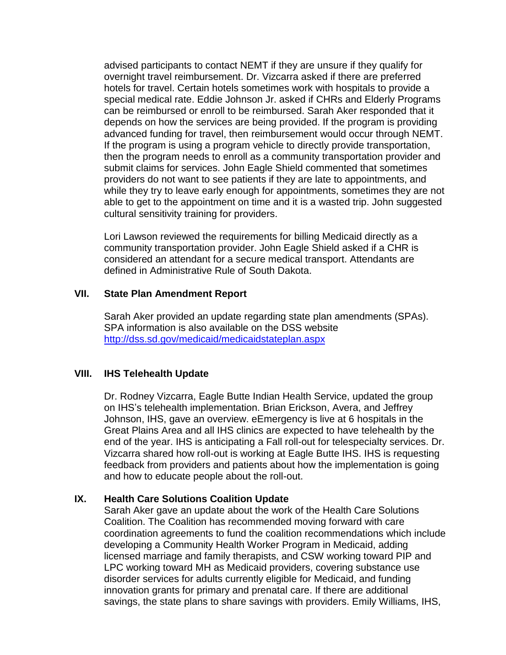advised participants to contact NEMT if they are unsure if they qualify for overnight travel reimbursement. Dr. Vizcarra asked if there are preferred hotels for travel. Certain hotels sometimes work with hospitals to provide a special medical rate. Eddie Johnson Jr. asked if CHRs and Elderly Programs can be reimbursed or enroll to be reimbursed. Sarah Aker responded that it depends on how the services are being provided. If the program is providing advanced funding for travel, then reimbursement would occur through NEMT. If the program is using a program vehicle to directly provide transportation, then the program needs to enroll as a community transportation provider and submit claims for services. John Eagle Shield commented that sometimes providers do not want to see patients if they are late to appointments, and while they try to leave early enough for appointments, sometimes they are not able to get to the appointment on time and it is a wasted trip. John suggested cultural sensitivity training for providers.

Lori Lawson reviewed the requirements for billing Medicaid directly as a community transportation provider. John Eagle Shield asked if a CHR is considered an attendant for a secure medical transport. Attendants are defined in Administrative Rule of South Dakota.

#### **VII. State Plan Amendment Report**

Sarah Aker provided an update regarding state plan amendments (SPAs). SPA information is also available on the DSS website <http://dss.sd.gov/medicaid/medicaidstateplan.aspx>

### **VIII. IHS Telehealth Update**

Dr. Rodney Vizcarra, Eagle Butte Indian Health Service, updated the group on IHS's telehealth implementation. Brian Erickson, Avera, and Jeffrey Johnson, IHS, gave an overview. eEmergency is live at 6 hospitals in the Great Plains Area and all IHS clinics are expected to have telehealth by the end of the year. IHS is anticipating a Fall roll-out for telespecialty services. Dr. Vizcarra shared how roll-out is working at Eagle Butte IHS. IHS is requesting feedback from providers and patients about how the implementation is going and how to educate people about the roll-out.

### **IX. Health Care Solutions Coalition Update**

Sarah Aker gave an update about the work of the Health Care Solutions Coalition. The Coalition has recommended moving forward with care coordination agreements to fund the coalition recommendations which include developing a Community Health Worker Program in Medicaid, adding licensed marriage and family therapists, and CSW working toward PIP and LPC working toward MH as Medicaid providers, covering substance use disorder services for adults currently eligible for Medicaid, and funding innovation grants for primary and prenatal care. If there are additional savings, the state plans to share savings with providers. Emily Williams, IHS,